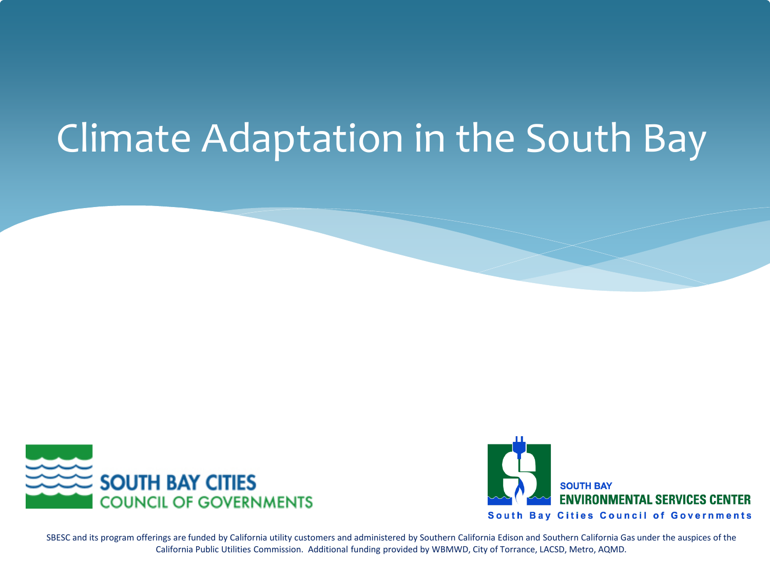### Climate Adaptation in the South Bay





SBESC and its program offerings are funded by California utility customers and administered by Southern California Edison and Southern California Gas under the auspices of the California Public Utilities Commission. Additional funding provided by WBMWD, City of Torrance, LACSD, Metro, AQMD.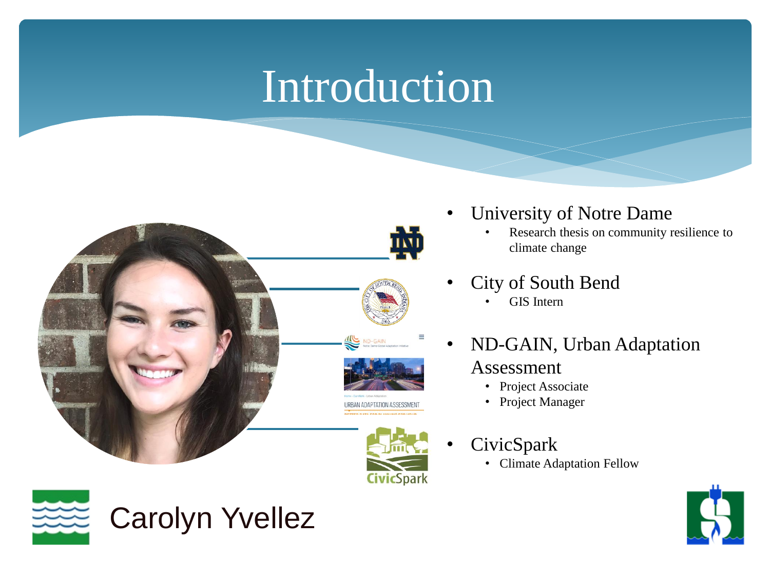### Introduction



- University of Notre Dame
	- Research thesis on community resilience to climate change
- City of South Bend
	- GIS Intern
- ND-GAIN, Urban Adaptation

#### Assessment

- Project Associate
- Project Manager
- CivicSpark
	- Climate Adaptation Fellow



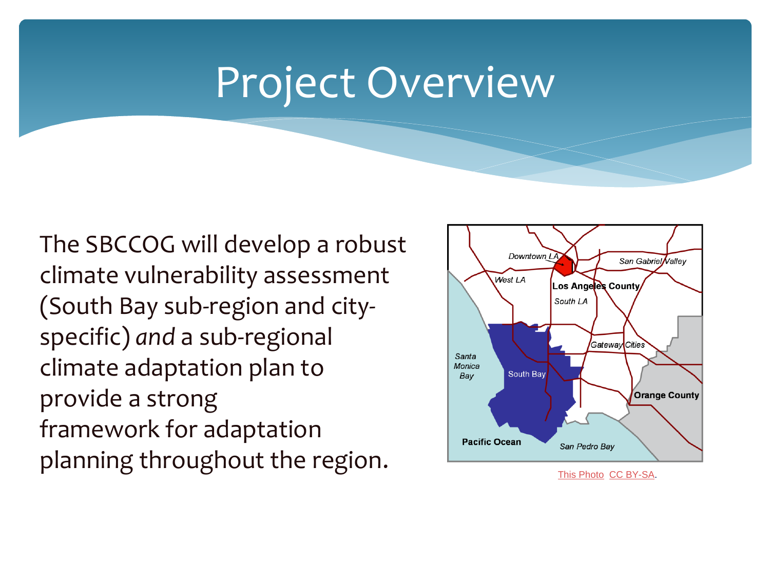#### Project Overview

The SBCCOG will develop a robust climate vulnerability assessment (South Bay sub-region and cityspecific) *and* a sub-regional climate adaptation plan to provide a strong framework for adaptation planning throughout the region.



[This Photo](https://en.wikipedia.org/wiki/South_Bay,_Los_Angeles) [CC BY-SA](https://creativecommons.org/licenses/by-sa/3.0/).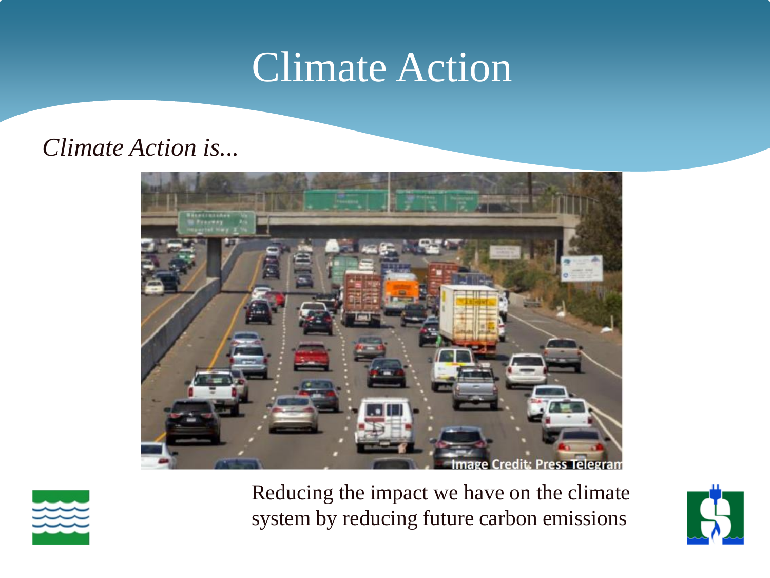#### Climate Action

#### *Climate Action is...*





Reducing the impact we have on the climate system by reducing future carbon emissions

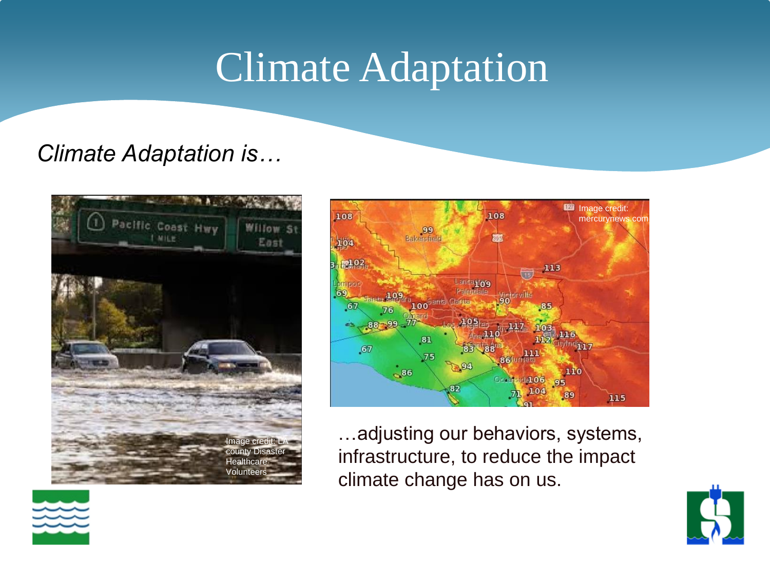### Climate Adaptation

#### *Climate Adaptation is…*





…adjusting our behaviors, systems, infrastructure, to reduce the impact climate change has on us.



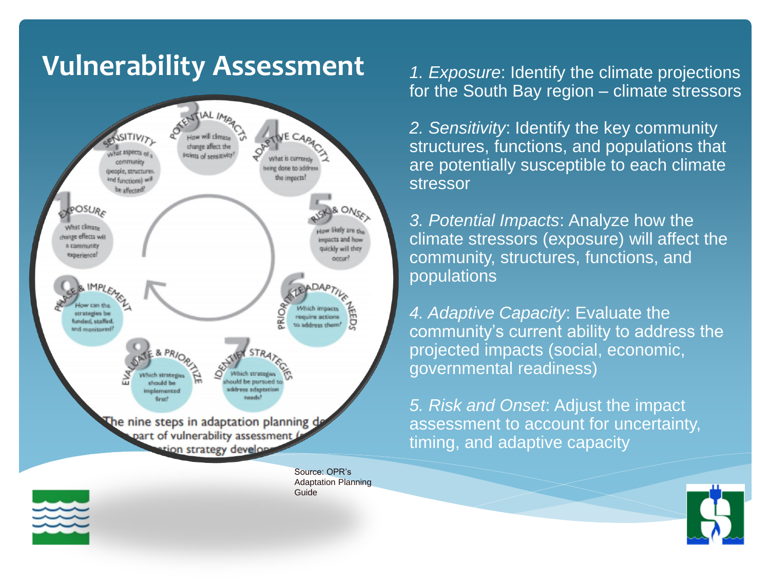#### **Vulnerability Assessment** *1. Exposure*: Identify the climate projections



Source: OPR's Adaptation Planning Guide

for the South Bay region – climate stressors

*2. Sensitivity*: Identify the key community structures, functions, and populations that are potentially susceptible to each climate stressor

*3. Potential Impacts*: Analyze how the climate stressors (exposure) will affect the community, structures, functions, and populations

*4. Adaptive Capacity*: Evaluate the community's current ability to address the projected impacts (social, economic, governmental readiness)

*5. Risk and Onset*: Adjust the impact assessment to account for uncertainty, timing, and adaptive capacity



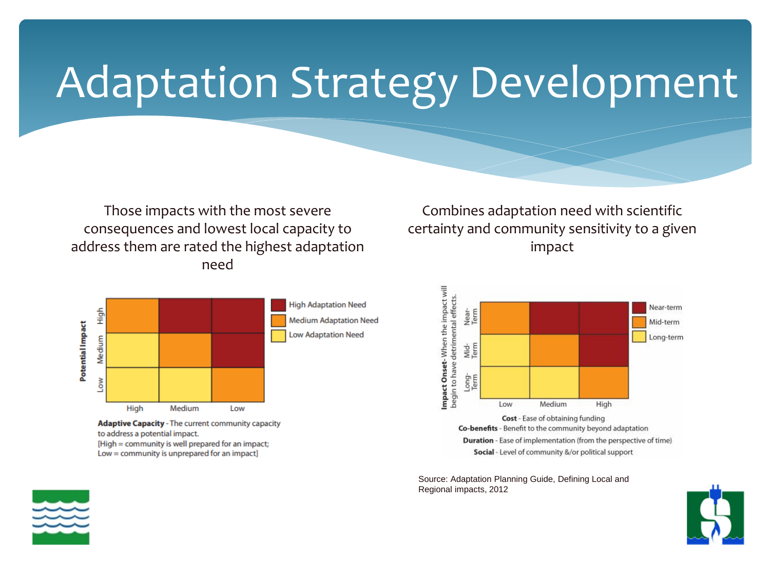## Adaptation Strategy Development

Those impacts with the most severe consequences and lowest local capacity to address them are rated the highest adaptation need



**Adaptive Capacity - The current community capacity** to address a potential impact. [High = community is well prepared for an impact; Low = community is unprepared for an impact]

Combines adaptation need with scientific certainty and community sensitivity to a given impact



Source: Adaptation Planning Guide, Defining Local and Regional impacts, 2012



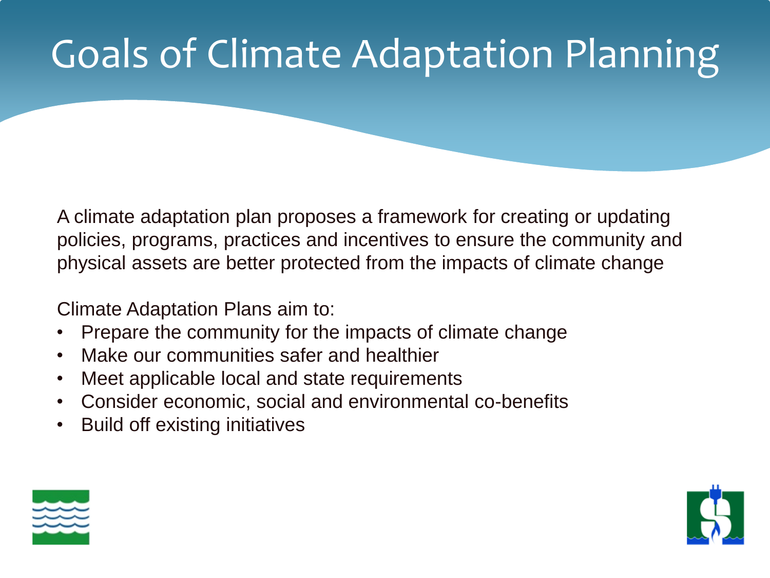### Goals of Climate Adaptation Planning

policies, programs, practices and incentives to ensure the community and<br>physical assets are better protected from the impacts of climate change A climate adaptation plan proposes a framework for creating or updating physical assets are better protected from the impacts of climate change

Climate Adaptation Plans aim to:

- Prepare the community for the impacts of climate change
- Make our communities safer and healthier
- Meet applicable local and state requirements
- Consider economic, social and environmental co-benefits
- Build off existing initiatives



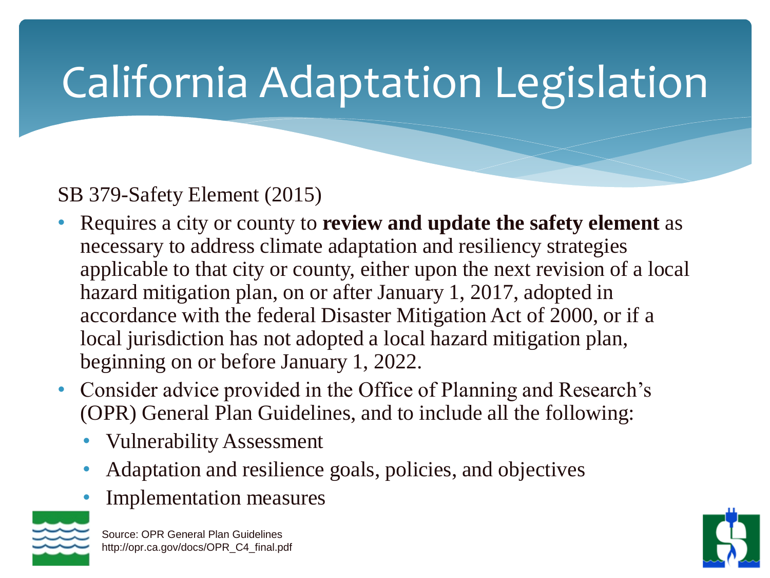# California Adaptation Legislation

#### SB 379-Safety Element (2015)

- Requires a city or county to **review and update the safety element** as necessary to address climate adaptation and resiliency strategies applicable to that city or county, either upon the next revision of a local hazard mitigation plan, on or after January 1, 2017, adopted in accordance with the federal Disaster Mitigation Act of 2000, or if a local jurisdiction has not adopted a local hazard mitigation plan, beginning on or before January 1, 2022.
- Consider advice provided in the Office of Planning and Research's (OPR) General Plan Guidelines, and to include all the following:
	- Vulnerability Assessment
	- Adaptation and resilience goals, policies, and objectives
	- Implementation measures



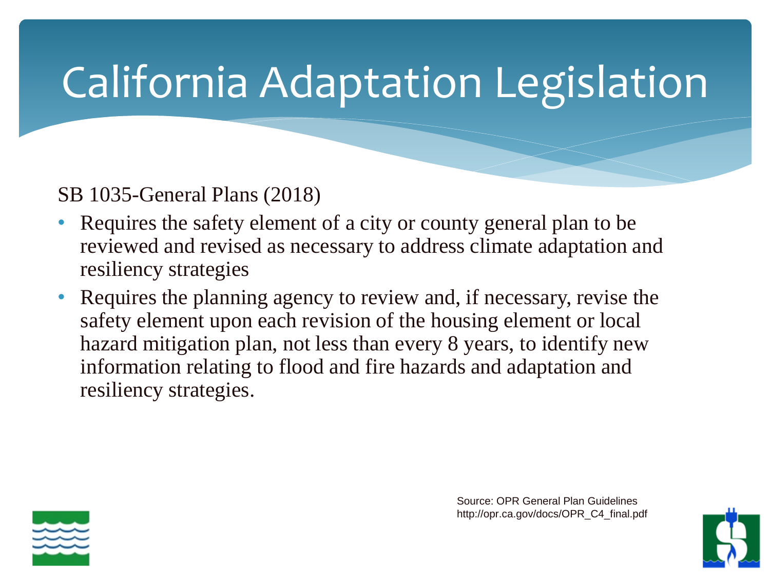# California Adaptation Legislation

SB 1035-General Plans (2018)

- Requires the safety element of a city or county general plan to be reviewed and revised as necessary to address climate adaptation and resiliency strategies
- Requires the planning agency to review and, if necessary, revise the safety element upon each revision of the housing element or local hazard mitigation plan, not less than every 8 years, to identify new information relating to flood and fire hazards and adaptation and resiliency strategies.



Source: OPR General Plan Guidelines http://opr.ca.gov/docs/OPR\_C4\_final.pdf

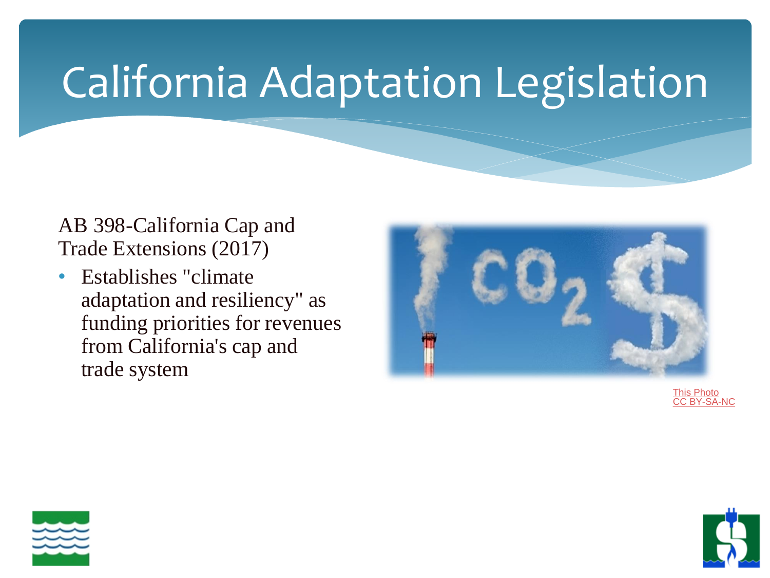## California Adaptation Legislation

AB 398-California Cap and Trade Extensions (2017)

• Establishes "climate" adaptation and resiliency" as funding priorities for revenues from California's cap and trade system



[This Photo](https://corporateeurope.org/climate-and-energy/2012/05/caught-red-handed-ieta-and-commission) CC BY-SA-NC



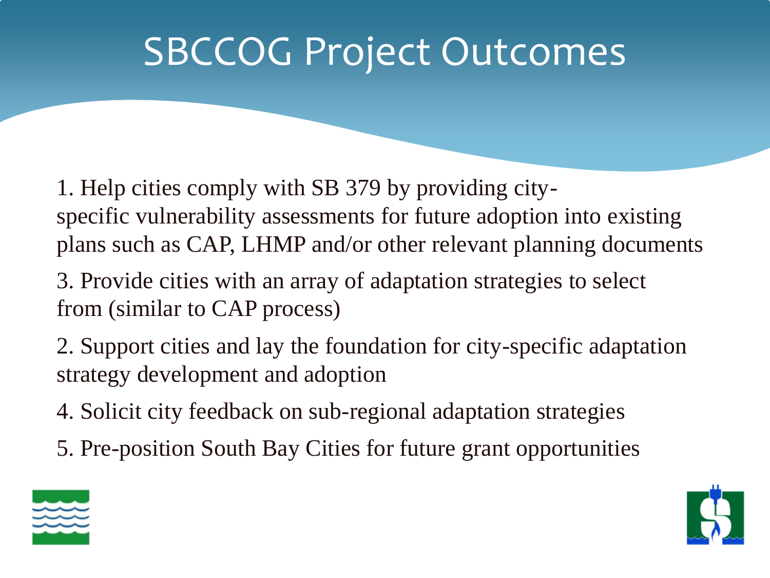### SBCCOG Project Outcomes

plans such as CAP, LHMP and/or other relevant planning documents 1. Help cities comply with SB 379 by providing cityspecific vulnerability assessments for future adoption into existing

3. Provide cities with an array of adaptation strategies to select from (similar to CAP process)

2. Support cities and lay the foundation for city-specific adaptation strategy development and adoption

- 4. Solicit city feedback on sub-regional adaptation strategies
- 5. Pre-position South Bay Cities for future grant opportunities



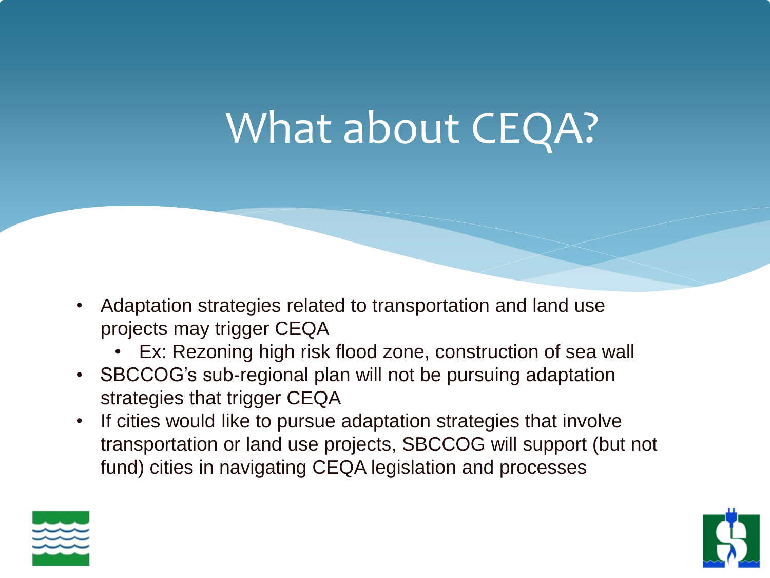# What about CEQA?

- Adaptation strategies related to transportation and land use projects may trigger CEQA
	- Ex: Rezoning high risk flood zone, construction of sea wall
- SBCCOG's sub-regional plan will not be pursuing adaptation strategies that trigger CEQA
- If cities would like to pursue adaptation strategies that involve transportation or land use projects, SBCCOG will support (but not fund) cities in navigating CEQA legislation and processes



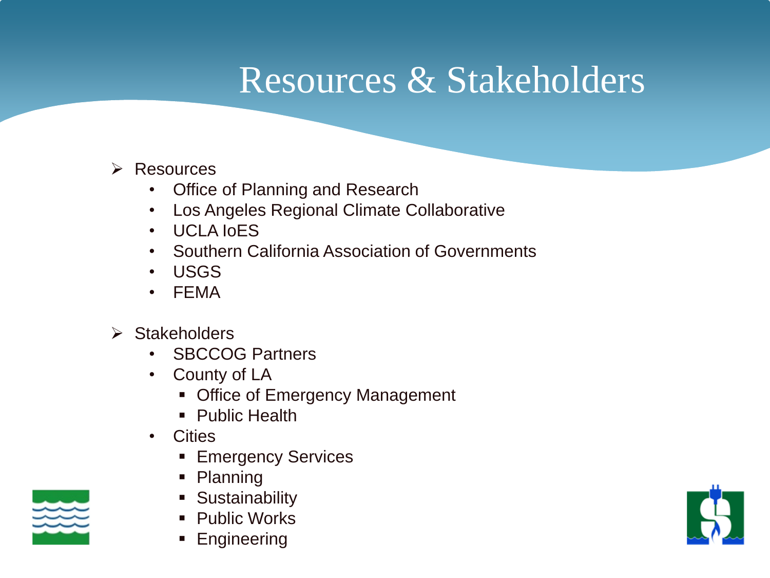#### Resources & Stakeholders

#### ➢ Resources

- Office of Planning and Research
- Los Angeles Regional Climate Collaborative
- UCLA IOFS
- UCLA IOES<br>• Southern California Association of Governments
- USGS
- FEMA
- ➢ Stakeholders
	- SBCCOG Partners
	- County of LA
		- Office of Emergency Management
		- Public Health
	- Cities
		- Emergency Services
		- Planning
		- **E** Sustainability
		- Public Works
		- **Engineering**



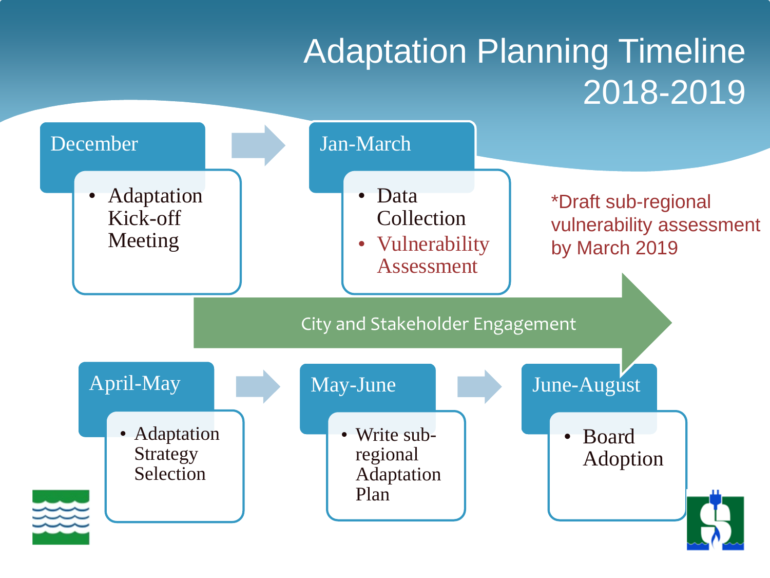#### Adaptation Planning Timeline 2018-2019